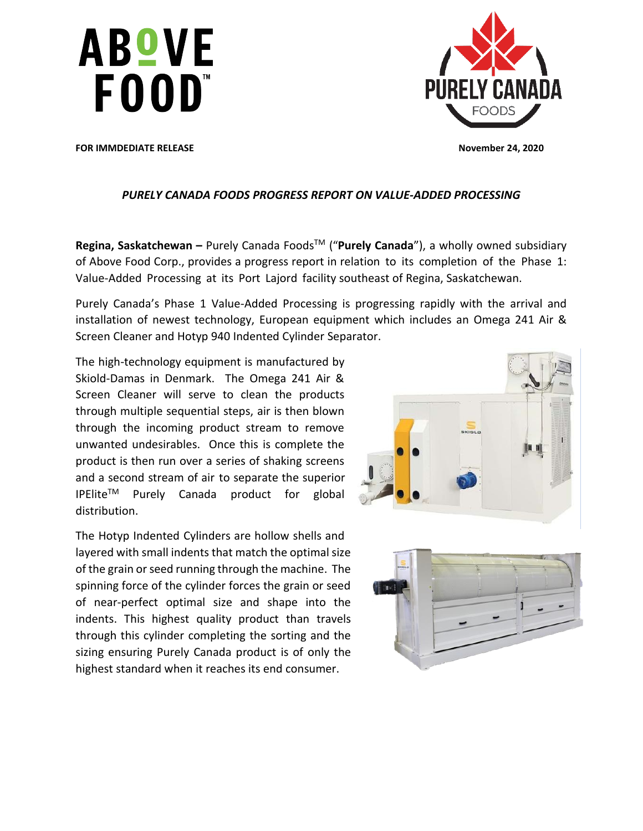



**FOR IMMDEDIATE RELEASE November 24, 2020** 

# *PURELY CANADA FOODS PROGRESS REPORT ON VALUE-ADDED PROCESSING*

**Regina, Saskatchewan −** Purely Canada Foods<sup>™</sup> ("Purely Canada"), a wholly owned subsidiary of Above Food Corp., provides a progress report in relation to its completion of the Phase 1: Value-Added Processing at its Port Lajord facility southeast of Regina, Saskatchewan.

Purely Canada's Phase 1 Value-Added Processing is progressing rapidly with the arrival and installation of newest technology, European equipment which includes an Omega 241 Air & Screen Cleaner and Hotyp 940 Indented Cylinder Separator.

The high-technology equipment is manufactured by Skiold-Damas in Denmark. The Omega 241 Air & Screen Cleaner will serve to clean the products through multiple sequential steps, air is then blown through the incoming product stream to remove unwanted undesirables. Once this is complete the product is then run over a series of shaking screens and a second stream of air to separate the superior  $IPElite^{TM}$  Purely Canada product for global distribution.

The Hotyp Indented Cylinders are hollow shells and layered with small indents that match the optimal size of the grain or seed running through the machine. The spinning force of the cylinder forces the grain or seed of near-perfect optimal size and shape into the indents. This highest quality product than travels through this cylinder completing the sorting and the sizing ensuring Purely Canada product is of only the highest standard when it reaches its end consumer.



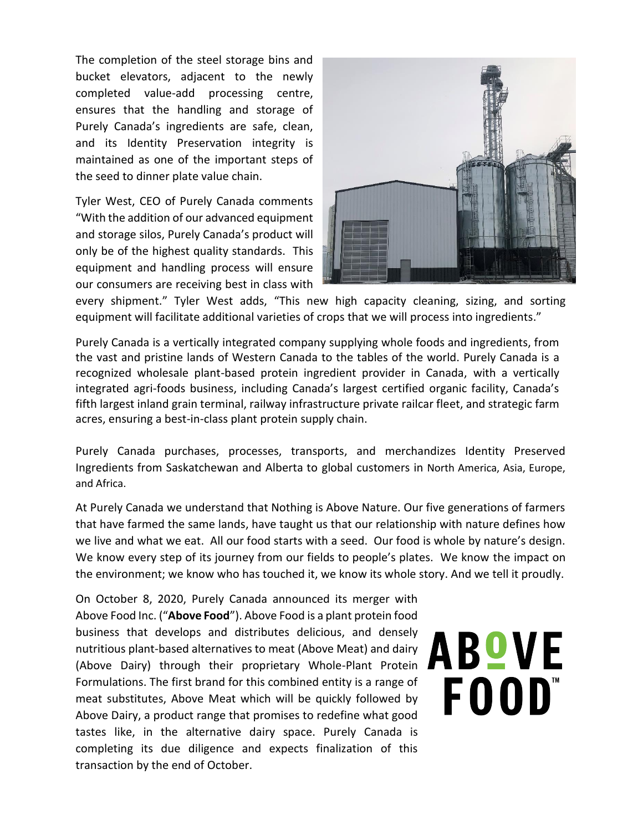The completion of the steel storage bins and bucket elevators, adjacent to the newly completed value-add processing centre, ensures that the handling and storage of Purely Canada's ingredients are safe, clean, and its Identity Preservation integrity is maintained as one of the important steps of the seed to dinner plate value chain.

Tyler West, CEO of Purely Canada comments "With the addition of our advanced equipment and storage silos, Purely Canada's product will only be of the highest quality standards. This equipment and handling process will ensure our consumers are receiving best in class with



every shipment." Tyler West adds, "This new high capacity cleaning, sizing, and sorting equipment will facilitate additional varieties of crops that we will process into ingredients."

Purely Canada is a vertically integrated company supplying whole foods and ingredients, from the vast and pristine lands of Western Canada to the tables of the world. Purely Canada is a recognized wholesale plant-based protein ingredient provider in Canada, with a vertically integrated agri-foods business, including Canada's largest certified organic facility, Canada's fifth largest inland grain terminal, railway infrastructure private railcar fleet, and strategic farm acres, ensuring a best-in-class plant protein supply chain.

Purely Canada purchases, processes, transports, and merchandizes Identity Preserved Ingredients from Saskatchewan and Alberta to global customers in North America, Asia, Europe, and Africa.

At Purely Canada we understand that Nothing is Above Nature. Our five generations of farmers that have farmed the same lands, have taught us that our relationship with nature defines how we live and what we eat. All our food starts with a seed. Our food is whole by nature's design. We know every step of its journey from our fields to people's plates. We know the impact on the environment; we know who has touched it, we know its whole story. And we tell it proudly.

On October 8, 2020, Purely Canada announced its merger with Above Food Inc. ("**Above Food**"). Above Food is a plant protein food business that develops and distributes delicious, and densely nutritious plant-based alternatives to meat (Above Meat) and dairy (Above Dairy) through their proprietary Whole-Plant Protein Formulations. The first brand for this combined entity is a range of meat substitutes, Above Meat which will be quickly followed by Above Dairy, a product range that promises to redefine what good tastes like, in the alternative dairy space. Purely Canada is completing its due diligence and expects finalization of this transaction by the end of October.

# ABOVE FOOD"